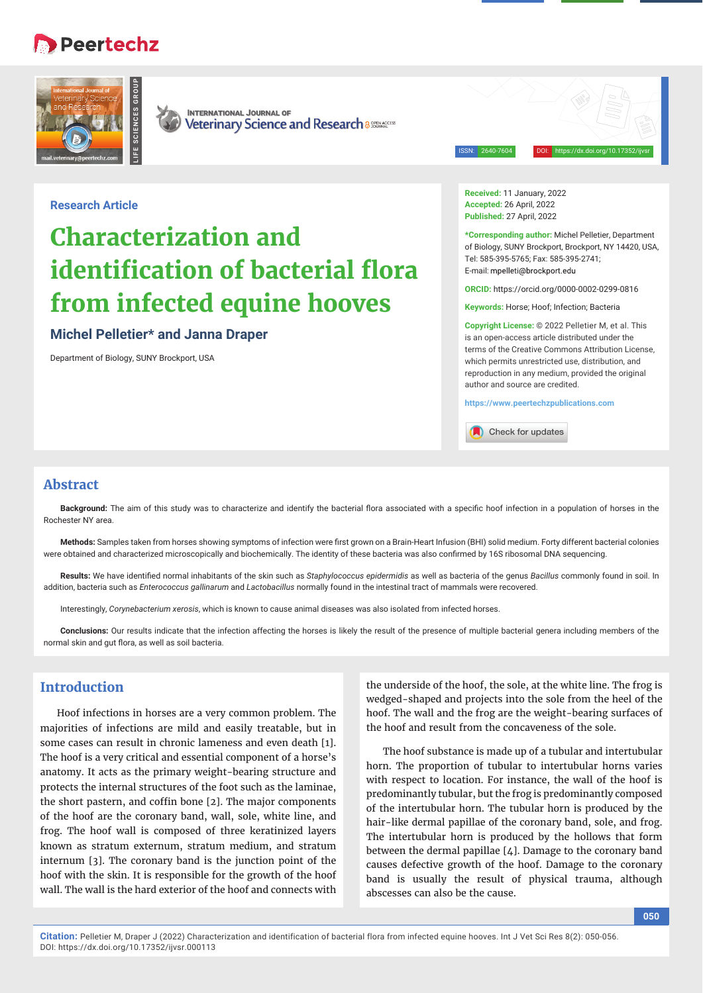## **Peertechz**



**INTERNATIONAL JOURNAL OF** Veterinary Science and Research a 885846055

ISSN: 2640-7604 DOI: https://dx.doi.org/10.17352/ijvsr

## **Research Article**

# **Characterization and identification of bacterial flora from infected equine hooves**

## **Michel Pelletier\* and Janna Draper**

Department of Biology, SUNY Brockport, USA

**Received:** 11 January, 2022 **Accepted:** 26 April, 2022 **Published:** 27 April, 2022

**\*Corresponding author:** Michel Pelletier, Department of Biology, SUNY Brockport, Brockport, NY 14420, USA, Tel: 585-395-5765; Fax: 585-395-2741; E-mail: mpelleti@brockport.edu

**ORCID:** https://orcid.org/0000-0002-0299-0816

**Keywords:** Horse; Hoof; Infection; Bacteria

**Copyright License:** © 2022 Pelletier M, et al. This is an open-access article distributed under the terms of the Creative Commons Attribution License, which permits unrestricted use, distribution, and reproduction in any medium, provided the original author and source are credited.

**https://www.peertechzpublications.com**

Check for updates

## **Abstract**

Background: The aim of this study was to characterize and identify the bacterial flora associated with a specific hoof infection in a population of horses in the Rochester NY area.

Methods: Samples taken from horses showing symptoms of infection were first grown on a Brain-Heart Infusion (BHI) solid medium. Forty different bacterial colonies were obtained and characterized microscopically and biochemically. The identity of these bacteria was also confirmed by 16S ribosomal DNA sequencing.

Results: We have identified normal inhabitants of the skin such as *Staphylococcus epidermidis* as well as bacteria of the genus *Bacillus* commonly found in soil. In addition, bacteria such as *Enterococcus gallinarum* and *Lactobacillus* normally found in the intestinal tract of mammals were recovered.

Interestingly, *Corynebacterium xerosis*, which is known to cause animal diseases was also isolated from infected horses.

**Conclusions:** Our results indicate that the infection affecting the horses is likely the result of the presence of multiple bacterial genera including members of the normal skin and gut flora, as well as soil bacteria.

## **Introduction**

Hoof infections in horses are a very common problem. The majorities of infections are mild and easily treatable, but in some cases can result in chronic lameness and even death [1]. The hoof is a very critical and essential component of a horse's anatomy. It acts as the primary weight-bearing structure and protects the internal structures of the foot such as the laminae, the short pastern, and coffin bone [2]. The major components of the hoof are the coronary band, wall, sole, white line, and frog. The hoof wall is composed of three keratinized layers known as stratum externum, stratum medium, and stratum internum [3]. The coronary band is the junction point of the hoof with the skin. It is responsible for the growth of the hoof wall. The wall is the hard exterior of the hoof and connects with

the underside of the hoof, the sole, at the white line. The frog is wedged-shaped and projects into the sole from the heel of the hoof. The wall and the frog are the weight-bearing surfaces of the hoof and result from the concaveness of the sole.

The hoof substance is made up of a tubular and intertubular horn. The proportion of tubular to intertubular horns varies with respect to location. For instance, the wall of the hoof is predominantly tubular, but the frog is predominantly composed of the intertubular horn. The tubular horn is produced by the hair-like dermal papillae of the coronary band, sole, and frog. The intertubular horn is produced by the hollows that form between the dermal papillae [4]. Damage to the coronary band causes defective growth of the hoof. Damage to the coronary band is usually the result of physical trauma, although abscesses can also be the cause.

**Citation:** Pelletier M, Draper J (2022) Characterization and identification of bacterial flora from infected equine hooves. Int J Vet Sci Res 8(2): 050-056. DOI: https://dx.doi.org/10.17352/ijvsr.000113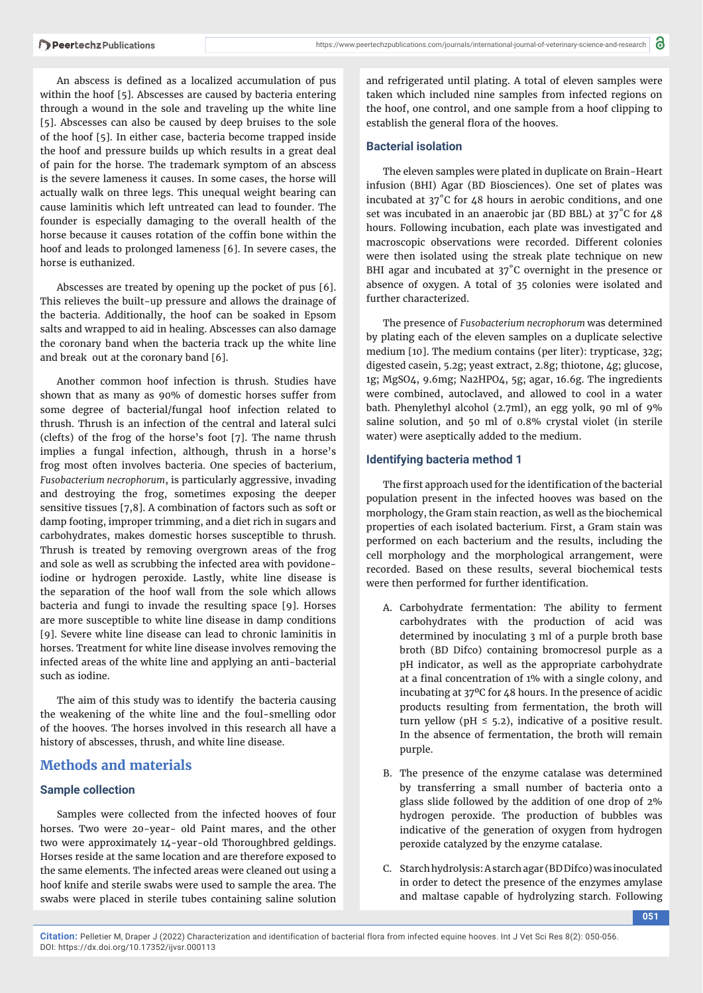An abscess is defined as a localized accumulation of pus within the hoof [5]. Abscesses are caused by bacteria entering through a wound in the sole and traveling up the white line [5]. Abscesses can also be caused by deep bruises to the sole of the hoof [5]. In either case, bacteria become trapped inside the hoof and pressure builds up which results in a great deal of pain for the horse. The trademark symptom of an abscess is the severe lameness it causes. In some cases, the horse will actually walk on three legs. This unequal weight bearing can cause laminitis which left untreated can lead to founder. The founder is especially damaging to the overall health of the horse because it causes rotation of the coffin bone within the hoof and leads to prolonged lameness [6]. In severe cases, the horse is euthanized.

Abscesses are treated by opening up the pocket of pus [6]. This relieves the built-up pressure and allows the drainage of the bacteria. Additionally, the hoof can be soaked in Epsom salts and wrapped to aid in healing. Abscesses can also damage the coronary band when the bacteria track up the white line and break out at the coronary band [6].

Another common hoof infection is thrush. Studies have shown that as many as 90% of domestic horses suffer from some degree of bacterial/fungal hoof infection related to thrush. Thrush is an infection of the central and lateral sulci (clefts) of the frog of the horse's foot [7]. The name thrush implies a fungal infection, although, thrush in a horse's frog most often involves bacteria. One species of bacterium, *Fusobacterium necrophorum*, is particularly aggressive, invading and destroying the frog, sometimes exposing the deeper sensitive tissues [7,8]. A combination of factors such as soft or damp footing, improper trimming, and a diet rich in sugars and carbohydrates, makes domestic horses susceptible to thrush. Thrush is treated by removing overgrown areas of the frog and sole as well as scrubbing the infected area with povidoneiodine or hydrogen peroxide. Lastly, white line disease is the separation of the hoof wall from the sole which allows bacteria and fungi to invade the resulting space [9]. Horses are more susceptible to white line disease in damp conditions [9]. Severe white line disease can lead to chronic laminitis in horses. Treatment for white line disease involves removing the infected areas of the white line and applying an anti-bacterial such as iodine.

The aim of this study was to identify the bacteria causing the weakening of the white line and the foul-smelling odor of the hooves. The horses involved in this research all have a history of abscesses, thrush, and white line disease.

## **Methods and materials**

#### **Sample collection**

Samples were collected from the infected hooves of four horses. Two were 20-year- old Paint mares, and the other two were approximately 14-year-old Thoroughbred geldings. Horses reside at the same location and are therefore exposed to the same elements. The infected areas were cleaned out using a hoof knife and sterile swabs were used to sample the area. The swabs were placed in sterile tubes containing saline solution

and refrigerated until plating. A total of eleven samples were taken which included nine samples from infected regions on the hoof, one control, and one sample from a hoof clipping to establish the general flora of the hooves.

#### **Bacterial isolation**

The eleven samples were plated in duplicate on Brain-Heart infusion (BHI) Agar (BD Biosciences). One set of plates was incubated at 37˚C for 48 hours in aerobic conditions, and one set was incubated in an anaerobic jar (BD BBL) at 37°C for 48 hours. Following incubation, each plate was investigated and macroscopic observations were recorded. Different colonies were then isolated using the streak plate technique on new BHI agar and incubated at 37°C overnight in the presence or absence of oxygen. A total of 35 colonies were isolated and further characterized.

The presence of *Fusobacterium necrophorum* was determined by plating each of the eleven samples on a duplicate selective medium [10]. The medium contains (per liter): trypticase, 32g; digested casein, 5.2g; yeast extract, 2.8g; thiotone, 4g; glucose, 1g; MgSO4, 9.6mg; Na2HPO4, 5g; agar, 16.6g. The ingredients were combined, autoclaved, and allowed to cool in a water bath. Phenylethyl alcohol (2.7ml), an egg yolk, 90 ml of 9% saline solution, and 50 ml of 0.8% crystal violet (in sterile water) were aseptically added to the medium.

#### **Identifying bacteria method 1**

The first approach used for the identification of the bacterial population present in the infected hooves was based on the morphology, the Gram stain reaction, as well as the biochemical properties of each isolated bacterium. First, a Gram stain was performed on each bacterium and the results, including the cell morphology and the morphological arrangement, were recorded. Based on these results, several biochemical tests were then performed for further identification.

- A. Carbohydrate fermentation: The ability to ferment carbohydrates with the production of acid was determined by inoculating 3 ml of a purple broth base broth (BD Difco) containing bromocresol purple as a pH indicator, as well as the appropriate carbohydrate at a final concentration of 1% with a single colony, and incubating at 37ºC for 48 hours. In the presence of acidic products resulting from fermentation, the broth will turn yellow (pH  $\leq$  5.2), indicative of a positive result. In the absence of fermentation, the broth will remain purple.
- B. The presence of the enzyme catalase was determined by transferring a small number of bacteria onto a glass slide followed by the addition of one drop of 2% hydrogen peroxide. The production of bubbles was indicative of the generation of oxygen from hydrogen peroxide catalyzed by the enzyme catalase.
- C. Starch hydrolysis: A starch agar (BD Difco) was inoculated in order to detect the presence of the enzymes amylase and maltase capable of hydrolyzing starch. Following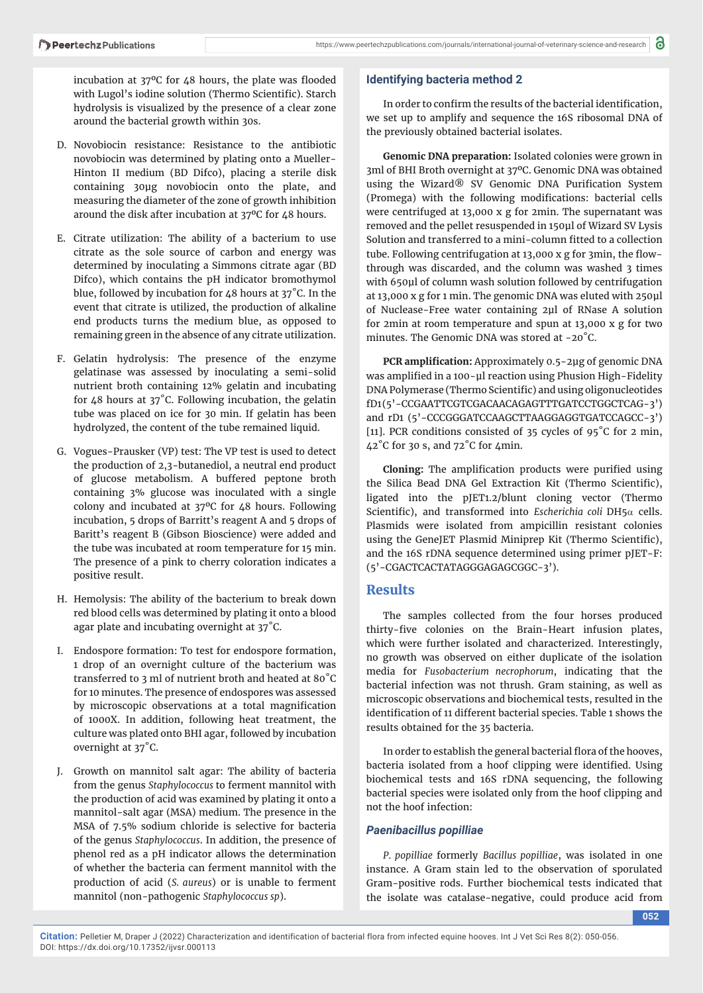incubation at  $37^{\circ}$ C for 48 hours, the plate was flooded with Lugol's iodine solution (Thermo Scientific). Starch hydrolysis is visualized by the presence of a clear zone around the bacterial growth within 30s.

- D. Novobiocin resistance: Resistance to the antibiotic novobiocin was determined by plating onto a Mueller-Hinton II medium (BD Difco), placing a sterile disk containing 30μg novobiocin onto the plate, and measuring the diameter of the zone of growth inhibition around the disk after incubation at 37ºC for 48 hours.
- E. Citrate utilization: The ability of a bacterium to use citrate as the sole source of carbon and energy was determined by inoculating a Simmons citrate agar (BD Difco), which contains the pH indicator bromothymol blue, followed by incubation for 48 hours at 37˚C. In the event that citrate is utilized, the production of alkaline end products turns the medium blue, as opposed to remaining green in the absence of any citrate utilization.
- F. Gelatin hydrolysis: The presence of the enzyme gelatinase was assessed by inoculating a semi-solid nutrient broth containing 12% gelatin and incubating for 48 hours at 37˚C. Following incubation, the gelatin tube was placed on ice for 30 min. If gelatin has been hydrolyzed, the content of the tube remained liquid.
- G. Vogues-Prausker (VP) test: The VP test is used to detect the production of 2,3-butanediol, a neutral end product of glucose metabolism. A buffered peptone broth containing 3% glucose was inoculated with a single colony and incubated at 37ºC for 48 hours. Following incubation, 5 drops of Barritt's reagent A and 5 drops of Baritt's reagent B (Gibson Bioscience) were added and the tube was incubated at room temperature for 15 min. The presence of a pink to cherry coloration indicates a positive result.
- H. Hemolysis: The ability of the bacterium to break down red blood cells was determined by plating it onto a blood agar plate and incubating overnight at 37˚C.
- I. Endospore formation: To test for endospore formation, 1 drop of an overnight culture of the bacterium was transferred to 3 ml of nutrient broth and heated at 80˚C for 10 minutes. The presence of endospores was assessed by microscopic observations at a total magnification of 1000X. In addition, following heat treatment, the culture was plated onto BHI agar, followed by incubation overnight at 37˚C.
- J. Growth on mannitol salt agar: The ability of bacteria from the genus *Staphylococcus* to ferment mannitol with the production of acid was examined by plating it onto a mannitol-salt agar (MSA) medium. The presence in the MSA of 7.5% sodium chloride is selective for bacteria of the genus *Staphylococcus*. In addition, the presence of phenol red as a pH indicator allows the determination of whether the bacteria can ferment mannitol with the production of acid (*S. aureus*) or is unable to ferment mannitol (non-pathogenic *Staphylococcus sp*).

#### **Identifying bacteria method 2**

In order to confirm the results of the bacterial identification, we set up to amplify and sequence the 16S ribosomal DNA of the previously obtained bacterial isolates.

**Genomic DNA preparation:** Isolated colonies were grown in 3ml of BHI Broth overnight at 37ºC. Genomic DNA was obtained using the Wizard® SV Genomic DNA Purification System (Promega) with the following modifications: bacterial cells were centrifuged at 13,000 x g for 2min. The supernatant was removed and the pellet resuspended in 150μl of Wizard SV Lysis Solution and transferred to a mini-column fitted to a collection tube. Following centrifugation at 13,000 x g for 3min, the flowthrough was discarded, and the column was washed 3 times with 650µl of column wash solution followed by centrifugation at 13,000 x g for 1 min. The genomic DNA was eluted with 250μl of Nuclease-Free water containing 2μl of RNase A solution for 2min at room temperature and spun at 13,000 x g for two minutes. The Genomic DNA was stored at -20°C.

**PCR amplification:** Approximately 0.5-2μg of genomic DNA was amplified in a 100-μl reaction using Phusion High-Fidelity DNA Polymerase (Thermo Scientific) and using oligonucleotides fD1 (5'-CCGAATTCGTCGACAACAGAGTTTGATCCTGGCTCAG-3') and rD1 (5'-CCCGGGATCCAAGCTTAAGGAGGTGATCCAGCC-3') [11]. PCR conditions consisted of 35 cycles of 95˚C for 2 min, 42˚C for 30 s, and 72˚C for 4min.

**Cloning:** The amplification products were purified using the Silica Bead DNA Gel Extraction Kit (Thermo Scientific), ligated into the pJET1.2/blunt cloning vector (Thermo Scientific), and transformed into *Escherichia coli* DH5 $\alpha$  cells. Plasmids were isolated from ampicillin resistant colonies using the GeneJET Plasmid Miniprep Kit (Thermo Scientific), and the 16S rDNA sequence determined using primer pJET-F: (5'-CGACTCACTATAGGGAGAGCGGC-3').

## **Results**

The samples collected from the four horses produced thirty-five colonies on the Brain-Heart infusion plates, which were further isolated and characterized. Interestingly, no growth was observed on either duplicate of the isolation media for *Fusobacterium necrophorum*, indicating that the bacterial infection was not thrush. Gram staining, as well as microscopic observations and biochemical tests, resulted in the identification of 11 different bacterial species. Table 1 shows the results obtained for the 35 bacteria.

In order to establish the general bacterial flora of the hooves, bacteria isolated from a hoof clipping were identified. Using biochemical tests and 16S rDNA sequencing, the following bacterial species were isolated only from the hoof clipping and not the hoof infection:

#### *Paenibacillus popilliae*

*P. popilliae* formerly *Bacillus popilliae*, was isolated in one instance. A Gram stain led to the observation of sporulated Gram-positive rods. Further biochemical tests indicated that the isolate was catalase-negative, could produce acid from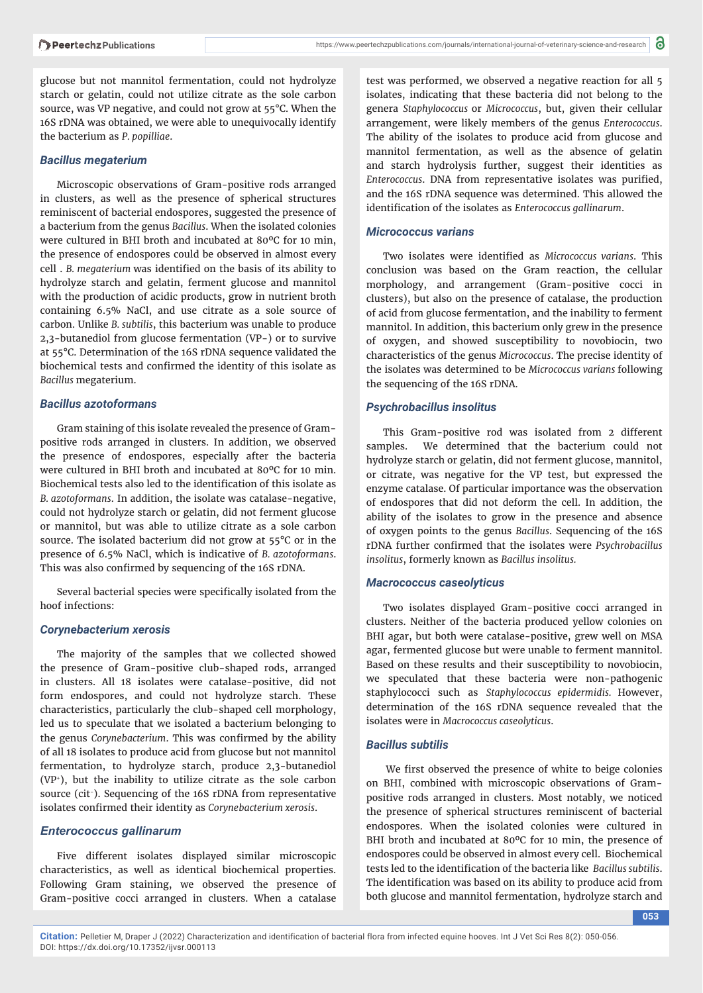glucose but not mannitol fermentation, could not hydrolyze starch or gelatin, could not utilize citrate as the sole carbon source, was VP negative, and could not grow at 55°C. When the 16S rDNA was obtained, we were able to unequivocally identify the bacterium as *P. popilliae*.

#### *Bacillus megaterium*

Microscopic observations of Gram-positive rods arranged in clusters, as well as the presence of spherical structures reminiscent of bacterial endospores, suggested the presence of a bacterium from the genus *Bacillus*. When the isolated colonies were cultured in BHI broth and incubated at 80ºC for 10 min, the presence of endospores could be observed in almost every cell . *B. megaterium* was identified on the basis of its ability to hydrolyze starch and gelatin, ferment glucose and mannitol with the production of acidic products, grow in nutrient broth containing 6.5% NaCl, and use citrate as a sole source of carbon. Unlike *B. subtilis*, this bacterium was unable to produce 2,3-butanediol from glucose fermentation (VP-) or to survive at 55°C. Determination of the 16S rDNA sequence validated the biochemical tests and confirmed the identity of this isolate as *Bacillus* megaterium.

#### *Bacillus azotoformans*

Gram staining of this isolate revealed the presence of Grampositive rods arranged in clusters. In addition, we observed the presence of endospores, especially after the bacteria were cultured in BHI broth and incubated at 80ºC for 10 min. Biochemical tests also led to the identification of this isolate as *B. azotoformans*. In addition, the isolate was catalase-negative, could not hydrolyze starch or gelatin, did not ferment glucose or mannitol, but was able to utilize citrate as a sole carbon source. The isolated bacterium did not grow at 55°C or in the presence of 6.5% NaCl, which is indicative of *B. azotoformans*. This was also confirmed by sequencing of the 16S rDNA.

Several bacterial species were specifically isolated from the hoof infections:

#### *Corynebacterium xerosis*

The majority of the samples that we collected showed the presence of Gram-positive club-shaped rods, arranged in clusters. All 18 isolates were catalase-positive, did not form endospores, and could not hydrolyze starch. These characteristics, particularly the club-shaped cell morphology, led us to speculate that we isolated a bacterium belonging to the genus *Corynebacterium*. This was confirmed by the ability of all 18 isolates to produce acid from glucose but not mannitol fermentation, to hydrolyze starch, produce 2,3-butanediol (VP+), but the inability to utilize citrate as the sole carbon source (cit-). Sequencing of the 16S rDNA from representative isolates confirmed their identity as *Corynebacterium xerosis*.

#### *Enterococcus gallinarum*

Five different isolates displayed similar microscopic characteristics, as well as identical biochemical properties. Following Gram staining, we observed the presence of Gram-positive cocci arranged in clusters. When a catalase

test was performed, we observed a negative reaction for all 5 isolates, indicating that these bacteria did not belong to the genera *Staphylococcus* or *Micrococcus*, but, given their cellular arrangement, were likely members of the genus *Enterococcus*. The ability of the isolates to produce acid from glucose and mannitol fermentation, as well as the absence of gelatin and starch hydrolysis further, suggest their identities as *Enterococcus*. DNA from representative isolates was purified, and the 16S rDNA sequence was determined. This allowed the identification of the isolates as *Enterococcus gallinarum*.

#### *Micrococcus varians*

Two isolates were identified as *Micrococcus varians*. This conclusion was based on the Gram reaction, the cellular morphology, and arrangement (Gram-positive cocci in clusters), but also on the presence of catalase, the production of acid from glucose fermentation, and the inability to ferment mannitol. In addition, this bacterium only grew in the presence of oxygen, and showed susceptibility to novobiocin, two characteristics of the genus *Micrococcus*. The precise identity of the isolates was determined to be *Micrococcus varians* following the sequencing of the 16S rDNA.

#### *Psychrobacillus insolitus*

This Gram-positive rod was isolated from 2 different samples. We determined that the bacterium could not hydrolyze starch or gelatin, did not ferment glucose, mannitol, or citrate, was negative for the VP test, but expressed the enzyme catalase. Of particular importance was the observation of endospores that did not deform the cell. In addition, the ability of the isolates to grow in the presence and absence of oxygen points to the genus *Bacillus*. Sequencing of the 16S rDNA further confi rmed that the isolates were *Psychrobacillus insolitus*, formerly known as *Bacillus insolitus.*

#### *Macrococcus caseolyticus*

Two isolates displayed Gram-positive cocci arranged in clusters. Neither of the bacteria produced yellow colonies on BHI agar, but both were catalase-positive, grew well on MSA agar, fermented glucose but were unable to ferment mannitol. Based on these results and their susceptibility to novobiocin, we speculated that these bacteria were non-pathogenic staphylococci such as *Staphylococcus epidermidis.* However, determination of the 16S rDNA sequence revealed that the isolates were in *Macrococcus caseolyticus*.

#### *Bacillus subtilis*

We first observed the presence of white to beige colonies on BHI, combined with microscopic observations of Grampositive rods arranged in clusters. Most notably, we noticed the presence of spherical structures reminiscent of bacterial endospores. When the isolated colonies were cultured in BHI broth and incubated at 80°C for 10 min, the presence of endospores could be observed in almost every cell. Biochemical tests led to the identification of the bacteria like *Bacillus subtilis*. The identification was based on its ability to produce acid from both glucose and mannitol fermentation, hydrolyze starch and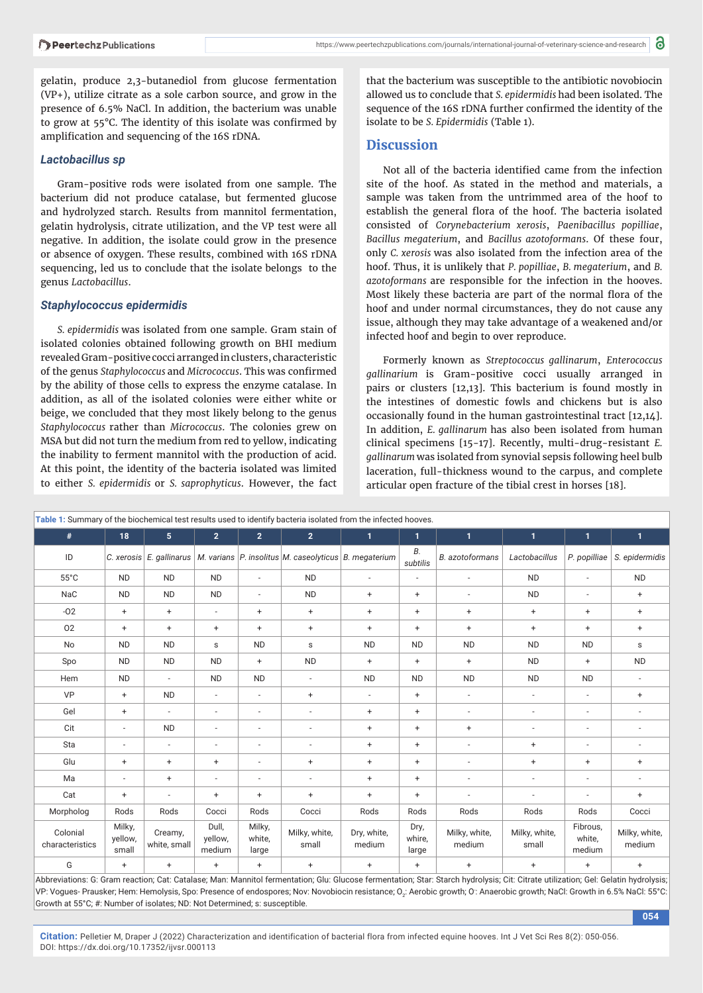gelatin, produce 2,3-butanediol from glucose fermentation (VP+), utilize citrate as a sole carbon source, and grow in the presence of 6.5% NaCl. In addition, the bacterium was unable to grow at  $55^{\circ}$ C. The identity of this isolate was confirmed by amplification and sequencing of the 16S rDNA.

#### *Lactobacillus sp*

Gram-positive rods were isolated from one sample. The bacterium did not produce catalase, but fermented glucose and hydrolyzed starch. Results from mannitol fermentation, gelatin hydrolysis, citrate utilization, and the VP test were all negative. In addition, the isolate could grow in the presence or absence of oxygen. These results, combined with 16S rDNA sequencing, led us to conclude that the isolate belongs to the genus *Lactobacillus*.

#### *Staphylococcus epidermidis*

*S. epidermidis* was isolated from one sample. Gram stain of isolated colonies obtained following growth on BHI medium revealed Gram-positive cocci arranged in clusters, characteristic of the genus *Staphylococcus* and *Micrococcus*. This was confirmed by the ability of those cells to express the enzyme catalase. In addition, as all of the isolated colonies were either white or beige, we concluded that they most likely belong to the genus *Staphylococcus* rather than *Micrococcus*. The colonies grew on MSA but did not turn the medium from red to yellow, indicating the inability to ferment mannitol with the production of acid. At this point, the identity of the bacteria isolated was limited to either *S. epidermidis* or *S. saprophyticus*. However, the fact that the bacterium was susceptible to the antibiotic novobiocin allowed us to conclude that *S. epidermidis* had been isolated. The sequence of the 16S rDNA further confirmed the identity of the isolate to be *S. Epidermidis* (Table 1).

#### **Discussion**

Not all of the bacteria identified came from the infection site of the hoof. As stated in the method and materials, a sample was taken from the untrimmed area of the hoof to establish the general flora of the hoof. The bacteria isolated consisted of *Corynebacterium xerosis*, *Paenibacillus popilliae*, *Bacillus megaterium*, and *Bacillus azotoformans*. Of these four, only *C. xerosis* was also isolated from the infection area of the hoof. Thus, it is unlikely that *P. popilliae*, *B. megaterium*, and *B. azotoformans* are responsible for the infection in the hooves. Most likely these bacteria are part of the normal flora of the hoof and under normal circumstances, they do not cause any issue, although they may take advantage of a weakened and/or infected hoof and begin to over reproduce.

Formerly known as *Streptococcus gallinarum*, *Enterococcus gallinarium* is Gram-positive cocci usually arranged in pairs or clusters [12,13]. This bacterium is found mostly in the intestines of domestic fowls and chickens but is also occasionally found in the human gastrointestinal tract [12,14]. In addition, *E. gallinarum* has also been isolated from human clinical specimens [15-17]. Recently, multi-drug-resistant *E. gallinarum* was isolated from synovial sepsis following heel bulb laceration, full-thickness wound to the carpus, and complete articular open fracture of the tibial crest in horses [18].

| Table 1: Summary of the biochemical test results used to identify bacteria isolated from the infected hooves. |                            |                          |                            |                           |                                                                                        |                       |                         |                          |                          |                              |                          |
|---------------------------------------------------------------------------------------------------------------|----------------------------|--------------------------|----------------------------|---------------------------|----------------------------------------------------------------------------------------|-----------------------|-------------------------|--------------------------|--------------------------|------------------------------|--------------------------|
| #                                                                                                             | 18                         | 5 <sup>5</sup>           | $\overline{2}$             | 2 <sup>1</sup>            | $\overline{2}$                                                                         | $\mathbf{1}$          | $\mathbf{1}$            | $\mathbf{1}$             | $\mathbf{1}$             | $\mathbf{1}$                 | $\mathbf{1}$             |
| ID                                                                                                            |                            |                          |                            |                           | C. xerosis E. gallinarus   M. varians   P. insolitus   M. caseolyticus   B. megaterium |                       | В.<br>subtilis          | <b>B.</b> azotoformans   | Lactobacillus            | P. popilliae                 | S. epidermidis           |
| $55^{\circ}$ C                                                                                                | <b>ND</b>                  | <b>ND</b>                | <b>ND</b>                  | $\overline{\phantom{a}}$  | <b>ND</b>                                                                              | ÷,                    | $\sim$                  | $\overline{\phantom{a}}$ | <b>ND</b>                | $\overline{\phantom{a}}$     | <b>ND</b>                |
| NaC                                                                                                           | <b>ND</b>                  | <b>ND</b>                | <b>ND</b>                  | $\overline{\phantom{a}}$  | <b>ND</b>                                                                              | $\ddot{}$             | $+$                     | $\overline{\phantom{a}}$ | <b>ND</b>                | $\overline{\phantom{a}}$     | $\ddot{}$                |
| $-02$                                                                                                         | $+$                        | $+$                      | $\overline{\phantom{a}}$   | $\ddot{}$                 | $\ddot{}$                                                                              | $\ddot{}$             | $+$                     | $\ddot{}$                | $\ddot{}$                | $+$                          | $+$                      |
| 02                                                                                                            | $\ddot{}$                  | $\ddot{}$                | $\ddot{}$                  | $\ddot{}$                 | $\ddot{}$                                                                              | $\ddot{}$             | $+$                     | $\ddot{}$                | $\ddot{}$                | $+$                          | $+$                      |
| No                                                                                                            | <b>ND</b>                  | <b>ND</b>                | $\sf s$                    | <b>ND</b>                 | $\sf s$                                                                                | <b>ND</b>             | <b>ND</b>               | <b>ND</b>                | <b>ND</b>                | <b>ND</b>                    | s                        |
| Spo                                                                                                           | <b>ND</b>                  | <b>ND</b>                | <b>ND</b>                  | $\ddot{}$                 | <b>ND</b>                                                                              | $\ddot{}$             | $+$                     | $\ddot{}$                | <b>ND</b>                | $+$                          | <b>ND</b>                |
| Hem                                                                                                           | <b>ND</b>                  | $\overline{\phantom{a}}$ | <b>ND</b>                  | <b>ND</b>                 | $\overline{\phantom{a}}$                                                               | <b>ND</b>             | <b>ND</b>               | <b>ND</b>                | <b>ND</b>                | <b>ND</b>                    | $\overline{\phantom{a}}$ |
| <b>VP</b>                                                                                                     | $+$                        | <b>ND</b>                | $\overline{\phantom{a}}$   | $\overline{\phantom{a}}$  | $\ddot{}$                                                                              | ÷,                    | $+$                     | $\overline{\phantom{a}}$ | $\sim$                   | $\sim$                       | $+$                      |
| Gel                                                                                                           | $+$                        | $\overline{\phantom{a}}$ | $\overline{a}$             | $\overline{\phantom{a}}$  | $\overline{\phantom{a}}$                                                               | $\ddot{}$             | $+$                     | $\overline{\phantom{a}}$ | $\overline{\phantom{a}}$ | $\overline{\phantom{a}}$     | ÷,                       |
| Cit                                                                                                           | $\sim$                     | <b>ND</b>                | $\overline{\phantom{a}}$   | $\overline{\phantom{a}}$  | $\overline{\phantom{a}}$                                                               | $\ddot{}$             | $+$                     | $\ddot{}$                | $\sim$                   | $\overline{\phantom{a}}$     | $\sim$                   |
| Sta                                                                                                           | $\overline{\phantom{a}}$   | $\overline{a}$           | $\overline{a}$             | $\overline{\phantom{a}}$  | $\overline{\phantom{a}}$                                                               | $\ddot{}$             | $+$                     | $\overline{\phantom{a}}$ | $\ddot{}$                | $\overline{\phantom{a}}$     | $\overline{a}$           |
| Glu                                                                                                           | $\ddot{}$                  | $\ddot{}$                | $\ddot{}$                  | $\overline{\phantom{a}}$  | $\ddot{}$                                                                              | $\ddot{}$             | $+$                     | $\overline{\phantom{a}}$ | $\ddot{}$                | $\ddot{}$                    | $\ddot{}$                |
| Ma                                                                                                            | $\overline{\phantom{a}}$   | $+$                      | $\overline{\phantom{a}}$   | $\overline{\phantom{a}}$  | $\overline{\phantom{a}}$                                                               | $\ddot{}$             | $+$                     | $\overline{\phantom{a}}$ | $\overline{\phantom{a}}$ | $\overline{\phantom{a}}$     | $\overline{\phantom{a}}$ |
| Cat                                                                                                           | $\ddot{}$                  | $\overline{\phantom{a}}$ | $\ddot{}$                  | $\ddot{}$                 | $\begin{array}{c} + \end{array}$                                                       | $\ddot{}$             | $+$                     | $\overline{\phantom{a}}$ | $\overline{\phantom{a}}$ | $\overline{\phantom{a}}$     | $\ddot{}$                |
| Morpholog                                                                                                     | Rods                       | Rods                     | Cocci                      | Rods                      | Cocci                                                                                  | Rods                  | Rods                    | Rods                     | Rods                     | Rods                         | Cocci                    |
| Colonial<br>characteristics                                                                                   | Milky,<br>yellow,<br>small | Creamy,<br>white, small  | Dull,<br>yellow,<br>medium | Milky,<br>white,<br>large | Milky, white,<br>small                                                                 | Dry, white,<br>medium | Dry,<br>whire,<br>large | Milky, white,<br>medium  | Milky, white,<br>small   | Fibrous,<br>white,<br>medium | Milky, white,<br>medium  |
| G                                                                                                             | $+$                        | $+$                      | $\ddot{}$                  | $\ddot{}$                 | $\ddot{}$                                                                              | $\ddot{}$             | $\ddot{}$               | $\ddot{}$                | $\ddot{}$                | $\ddot{}$                    | $\ddot{}$                |

Abbreviations: G: Gram reaction; Cat: Catalase; Man: Mannitol fermentation; Glu: Glucose fermentation; Star: Starch hydrolysis; Cit: Citrate utilization; Gel: Gelatin hydrolysis; VP: Vogues- Prausker; Hem: Hemolysis, Spo: Presence of endospores; Nov: Novobiocin resistance; O<sub>2</sub>: Aerobic growth; O: Anaerobic growth; NaCl: Growth in 6.5% NaCl: 55°C: Growth at 55°C; #: Number of isolates; ND: Not Determined; s: susceptible.

**054**

**Citation:** Pelletier M, Draper J (2022) Characterization and identification of bacterial flora from infected equine hooves. Int J Vet Sci Res 8(2): 050-056. DOI: https://dx.doi.org/10.17352/ijvsr.000113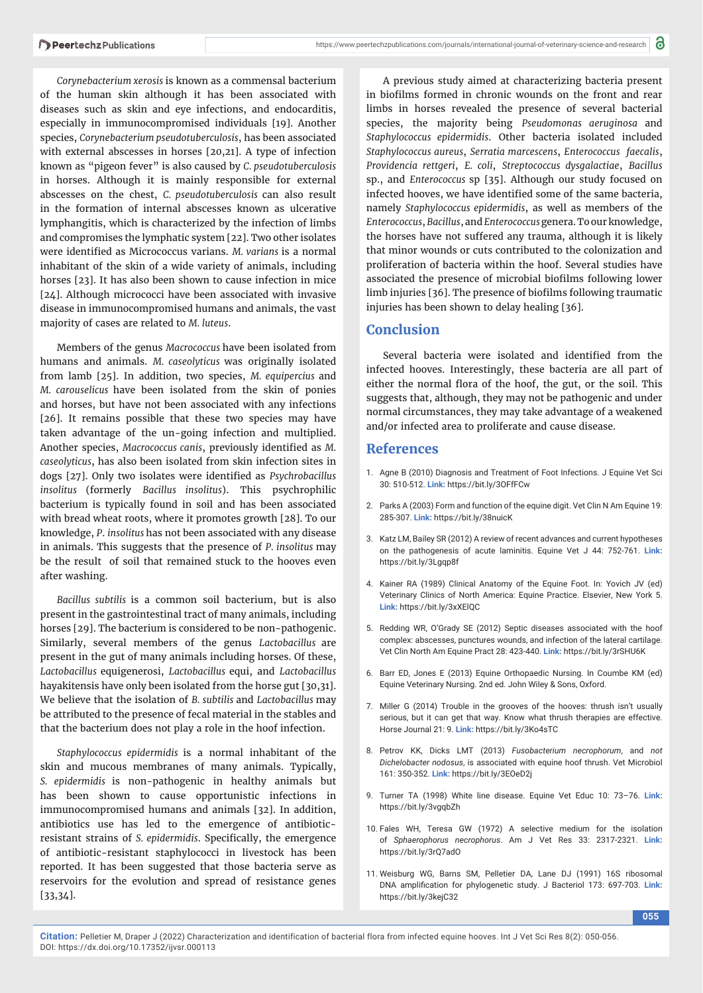*Corynebacterium xerosis* is known as a commensal bacterium of the human skin although it has been associated with diseases such as skin and eye infections, and endocarditis, especially in immunocompromised individuals [19]. Another species, *Corynebacterium pseudotuberculosis*, has been associated with external abscesses in horses [20,21]. A type of infection known as "pigeon fever" is also caused by *C. pseudotuberculosis*  in horses. Although it is mainly responsible for external abscesses on the chest, *C. pseudotuberculosis* can also result in the formation of internal abscesses known as ulcerative lymphangitis, which is characterized by the infection of limbs and compromises the lymphatic system [22]. Two other isolates were identified as Micrococcus varians. *M. varians* is a normal inhabitant of the skin of a wide variety of animals, including horses [23]. It has also been shown to cause infection in mice [24]. Although micrococci have been associated with invasive disease in immunocompromised humans and animals, the vast majority of cases are related to *M. luteus*.

Members of the genus *Macrococcus* have been isolated from humans and animals. *M. caseolyticus* was originally isolated from lamb [25]. In addition, two species, *M. equipercius* and *M. carouselicus* have been isolated from the skin of ponies and horses, but have not been associated with any infections [26]. It remains possible that these two species may have taken advantage of the un-going infection and multiplied. Another species, *Macrococcus canis*, previously identified as *M*. *caseolyticus*, has also been isolated from skin infection sites in dogs [27]. Only two isolates were identified as *Psychrobacillus insolitus* (formerly *Bacillus insolitus*). This psychrophilic bacterium is typically found in soil and has been associated with bread wheat roots, where it promotes growth [28]. To our knowledge, *P*. *insolitus* has not been associated with any disease in animals. This suggests that the presence of *P. insolitus* may be the result of soil that remained stuck to the hooves even after washing.

*Bacillus subtilis* is a common soil bacterium, but is also present in the gastrointestinal tract of many animals, including horses [29]. The bacterium is considered to be non-pathogenic. Similarly, several members of the genus *Lactobacillus* are present in the gut of many animals including horses. Of these, *Lactobacillus* equigenerosi, *Lactobacillus* equi, and *Lactobacillus*  hayakitensis have only been isolated from the horse gut [30,31]. We believe that the isolation of *B. subtilis* and *Lactobacillus* may be attributed to the presence of fecal material in the stables and that the bacterium does not play a role in the hoof infection.

*Staphylococcus epidermidis* is a normal inhabitant of the skin and mucous membranes of many animals. Typically, *S. epidermidis* is non-pathogenic in healthy animals but has been shown to cause opportunistic infections in immunocompromised humans and animals [32]. In addition, antibiotics use has led to the emergence of antibioticresistant strains of *S. epidermidis*. Specifically, the emergence of antibiotic-resistant staphylococci in livestock has been reported. It has been suggested that those bacteria serve as reservoirs for the evolution and spread of resistance genes [33,34].

A previous study aimed at characterizing bacteria present in biofilms formed in chronic wounds on the front and rear limbs in horses revealed the presence of several bacterial species, the majority being *Pseudomonas aeruginosa* and *Staphylococcus epidermidis*. Other bacteria isolated included *Staphylococcus aureus*, *Serratia marcescens*, *Enterococcus faecalis*, *Providencia rettgeri*, *E. coli*, *Streptococcus dysgalactiae*, *Bacillus*  sp., and *Enterococcus* sp [35]. Although our study focused on infected hooves, we have identified some of the same bacteria, namely *Staphylococcus epidermidis*, as well as members of the *Enterococcus*, *Bacillus*, and *Enterococcus* genera. To our knowledge, the horses have not suffered any trauma, although it is likely that minor wounds or cuts contributed to the colonization and proliferation of bacteria within the hoof. Several studies have associated the presence of microbial biofilms following lower limb injuries [36]. The presence of biofilms following traumatic injuries has been shown to delay healing [36].

#### **Conclusion**

Several bacteria were isolated and identified from the infected hooves. Interestingly, these bacteria are all part of either the normal flora of the hoof, the gut, or the soil. This suggests that, although, they may not be pathogenic and under normal circumstances, they may take advantage of a weakened and/or infected area to proliferate and cause disease.

#### **References**

- 1. Agne B (2010) Diagnosis and Treatment of Foot Infections. J Equine Vet Sci 30: 510-512. **Link:** https://bit.ly/3OFfFCw
- 2. Parks A (2003) Form and function of the equine digit. Vet Clin N Am Equine 19: 285-307. **Link:** https://bit.ly/38nuicK
- 3. Katz LM, Bailey SR (2012) A review of recent advances and current hypotheses on the pathogenesis of acute laminitis. Equine Vet J 44: 752-761. **Link:** https://bit.ly/3Lgqp8f
- 4. Kainer RA (1989) Clinical Anatomy of the Equine Foot. In: Yovich JV (ed) Veterinary Clinics of North America: Equine Practice. Elsevier, New York 5. **Link:** https://bit.ly/3xXElQC
- 5. Redding WR, O'Grady SE (2012) Septic diseases associated with the hoof complex: abscesses, punctures wounds, and infection of the lateral cartilage. Vet Clin North Am Equine Pract 28: 423-440. **Link:** https://bit.ly/3rSHU6K
- 6. Barr ED, Jones E (2013) Equine Orthopaedic Nursing. In Coumbe KM (ed) Equine Veterinary Nursing. 2nd ed. John Wiley & Sons, Oxford.
- 7. Miller G (2014) Trouble in the grooves of the hooves: thrush isn't usually serious, but it can get that way. Know what thrush therapies are effective. Horse Journal 21: 9. **Link:** https://bit.ly/3Ko4sTC
- 8. Petrov KK, Dicks LMT (2013) *Fusobacterium necrophorum*, and *not Dichelobacter nodosus*, is associated with equine hoof thrush. Vet Microbiol 161: 350-352. **Link:** https://bit.ly/3EOeD2j
- 9. Turner TA (1998) White line disease. Equine Vet Educ 10: 73–76. **Link:** https://bit.ly/3vgqbZh
- 10. Fales WH, Teresa GW (1972) A selective medium for the isolation of *Sphaerophorus necrophorus*. Am J Vet Res 33: 2317-2321. **Link:** https://bit.ly/3rQ7adO
- 11. Weisburg WG, Barns SM, Pelletier DA, Lane DJ (1991) 16S ribosomal DNA amplification for phylogenetic study. J Bacteriol 173: 697-703. Link: https://bit.ly/3kejC32

**055**